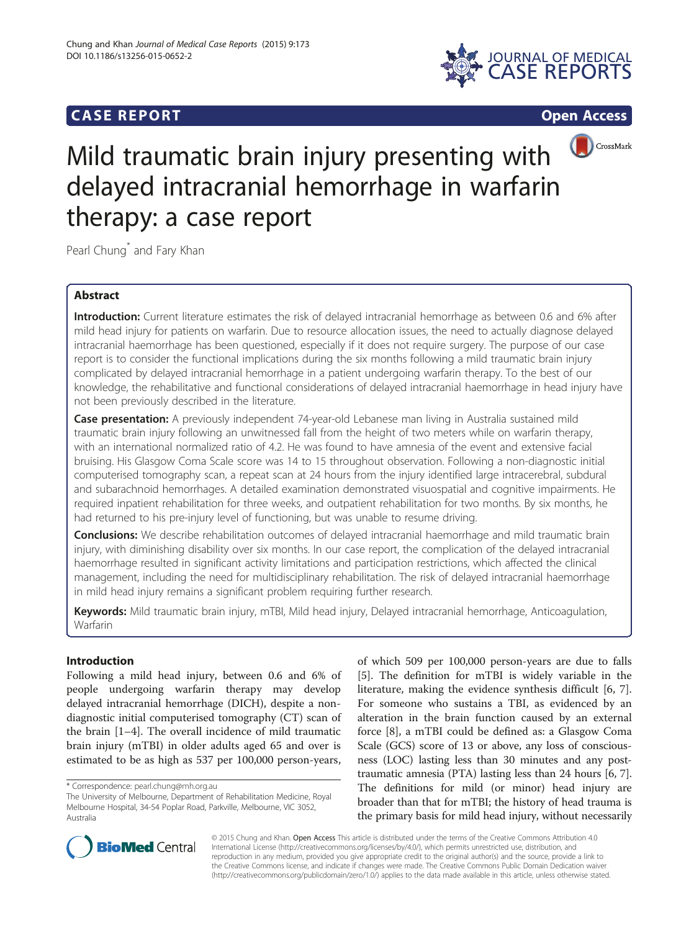# **CASE REPORT CASE REPORT**





# Mild traumatic brain injury presenting with delayed intracranial hemorrhage in warfarin therapy: a case report

Pearl Chung<sup>\*</sup> and Fary Khan

# Abstract

Introduction: Current literature estimates the risk of delayed intracranial hemorrhage as between 0.6 and 6% after mild head injury for patients on warfarin. Due to resource allocation issues, the need to actually diagnose delayed intracranial haemorrhage has been questioned, especially if it does not require surgery. The purpose of our case report is to consider the functional implications during the six months following a mild traumatic brain injury complicated by delayed intracranial hemorrhage in a patient undergoing warfarin therapy. To the best of our knowledge, the rehabilitative and functional considerations of delayed intracranial haemorrhage in head injury have not been previously described in the literature.

Case presentation: A previously independent 74-year-old Lebanese man living in Australia sustained mild traumatic brain injury following an unwitnessed fall from the height of two meters while on warfarin therapy, with an international normalized ratio of 4.2. He was found to have amnesia of the event and extensive facial bruising. His Glasgow Coma Scale score was 14 to 15 throughout observation. Following a non-diagnostic initial computerised tomography scan, a repeat scan at 24 hours from the injury identified large intracerebral, subdural and subarachnoid hemorrhages. A detailed examination demonstrated visuospatial and cognitive impairments. He required inpatient rehabilitation for three weeks, and outpatient rehabilitation for two months. By six months, he had returned to his pre-injury level of functioning, but was unable to resume driving.

Conclusions: We describe rehabilitation outcomes of delayed intracranial haemorrhage and mild traumatic brain injury, with diminishing disability over six months. In our case report, the complication of the delayed intracranial haemorrhage resulted in significant activity limitations and participation restrictions, which affected the clinical management, including the need for multidisciplinary rehabilitation. The risk of delayed intracranial haemorrhage in mild head injury remains a significant problem requiring further research.

Keywords: Mild traumatic brain injury, mTBI, Mild head injury, Delayed intracranial hemorrhage, Anticoagulation, Warfarin

# Introduction

Following a mild head injury, between 0.6 and 6% of people undergoing warfarin therapy may develop delayed intracranial hemorrhage (DICH), despite a nondiagnostic initial computerised tomography (CT) scan of the brain [[1](#page-3-0)–[4\]](#page-3-0). The overall incidence of mild traumatic brain injury (mTBI) in older adults aged 65 and over is estimated to be as high as 537 per 100,000 person-years,

of which 509 per 100,000 person-years are due to falls [[5\]](#page-4-0). The definition for mTBI is widely variable in the literature, making the evidence synthesis difficult [\[6](#page-4-0), [7](#page-4-0)]. For someone who sustains a TBI, as evidenced by an alteration in the brain function caused by an external force [[8\]](#page-4-0), a mTBI could be defined as: a Glasgow Coma Scale (GCS) score of 13 or above, any loss of consciousness (LOC) lasting less than 30 minutes and any posttraumatic amnesia (PTA) lasting less than 24 hours [[6](#page-4-0), [7](#page-4-0)]. The definitions for mild (or minor) head injury are broader than that for mTBI; the history of head trauma is the primary basis for mild head injury, without necessarily



© 2015 Chung and Khan. Open Access This article is distributed under the terms of the Creative Commons Attribution 4.0 International License [\(http://creativecommons.org/licenses/by/4.0/](http://creativecommons.org/licenses/by/4.0/)), which permits unrestricted use, distribution, and reproduction in any medium, provided you give appropriate credit to the original author(s) and the source, provide a link to the Creative Commons license, and indicate if changes were made. The Creative Commons Public Domain Dedication waiver [\(http://creativecommons.org/publicdomain/zero/1.0/](http://creativecommons.org/publicdomain/zero/1.0/)) applies to the data made available in this article, unless otherwise stated.

<sup>\*</sup> Correspondence: [pearl.chung@mh.org.au](mailto:pearl.chung@mh.org.au)

The University of Melbourne, Department of Rehabilitation Medicine, Royal Melbourne Hospital, 34-54 Poplar Road, Parkville, Melbourne, VIC 3052, Australia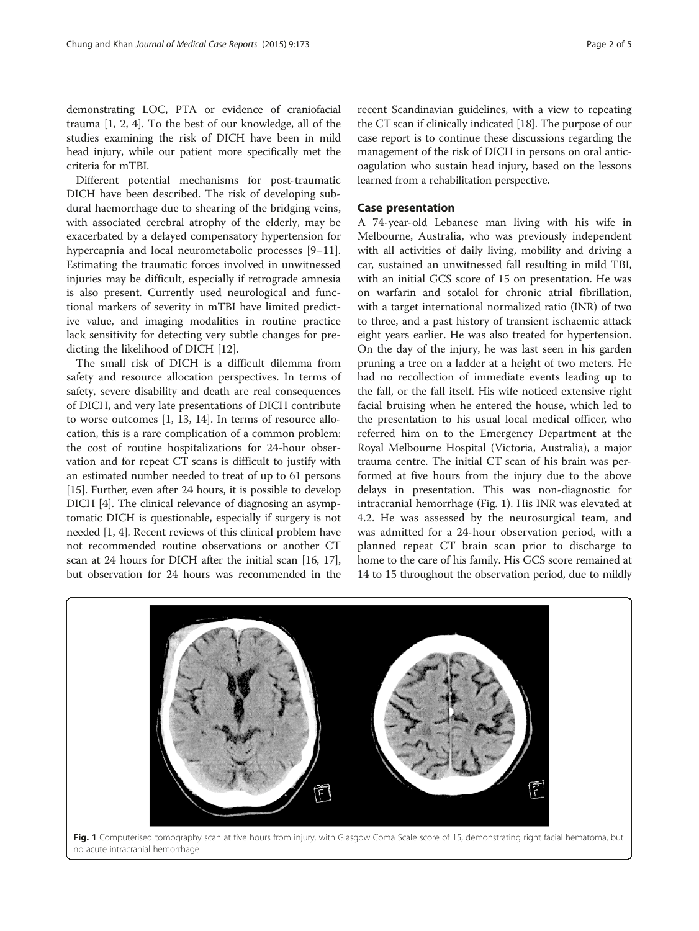demonstrating LOC, PTA or evidence of craniofacial trauma [[1, 2](#page-3-0), [4](#page-3-0)]. To the best of our knowledge, all of the studies examining the risk of DICH have been in mild head injury, while our patient more specifically met the criteria for mTBI.

Different potential mechanisms for post-traumatic DICH have been described. The risk of developing subdural haemorrhage due to shearing of the bridging veins, with associated cerebral atrophy of the elderly, may be exacerbated by a delayed compensatory hypertension for hypercapnia and local neurometabolic processes [[9](#page-4-0)–[11](#page-4-0)]. Estimating the traumatic forces involved in unwitnessed injuries may be difficult, especially if retrograde amnesia is also present. Currently used neurological and functional markers of severity in mTBI have limited predictive value, and imaging modalities in routine practice lack sensitivity for detecting very subtle changes for predicting the likelihood of DICH [\[12](#page-4-0)].

The small risk of DICH is a difficult dilemma from safety and resource allocation perspectives. In terms of safety, severe disability and death are real consequences of DICH, and very late presentations of DICH contribute to worse outcomes [\[1,](#page-3-0) [13](#page-4-0), [14](#page-4-0)]. In terms of resource allocation, this is a rare complication of a common problem: the cost of routine hospitalizations for 24-hour observation and for repeat CT scans is difficult to justify with an estimated number needed to treat of up to 61 persons [[15](#page-4-0)]. Further, even after 24 hours, it is possible to develop DICH [\[4](#page-3-0)]. The clinical relevance of diagnosing an asymptomatic DICH is questionable, especially if surgery is not needed [\[1](#page-3-0), [4\]](#page-3-0). Recent reviews of this clinical problem have not recommended routine observations or another CT scan at 24 hours for DICH after the initial scan [\[16, 17](#page-4-0)], but observation for 24 hours was recommended in the

recent Scandinavian guidelines, with a view to repeating the CT scan if clinically indicated [\[18\]](#page-4-0). The purpose of our case report is to continue these discussions regarding the management of the risk of DICH in persons on oral anticoagulation who sustain head injury, based on the lessons learned from a rehabilitation perspective.

#### Case presentation

A 74-year-old Lebanese man living with his wife in Melbourne, Australia, who was previously independent with all activities of daily living, mobility and driving a car, sustained an unwitnessed fall resulting in mild TBI, with an initial GCS score of 15 on presentation. He was on warfarin and sotalol for chronic atrial fibrillation, with a target international normalized ratio (INR) of two to three, and a past history of transient ischaemic attack eight years earlier. He was also treated for hypertension. On the day of the injury, he was last seen in his garden pruning a tree on a ladder at a height of two meters. He had no recollection of immediate events leading up to the fall, or the fall itself. His wife noticed extensive right facial bruising when he entered the house, which led to the presentation to his usual local medical officer, who referred him on to the Emergency Department at the Royal Melbourne Hospital (Victoria, Australia), a major trauma centre. The initial CT scan of his brain was performed at five hours from the injury due to the above delays in presentation. This was non-diagnostic for intracranial hemorrhage (Fig. 1). His INR was elevated at 4.2. He was assessed by the neurosurgical team, and was admitted for a 24-hour observation period, with a planned repeat CT brain scan prior to discharge to home to the care of his family. His GCS score remained at 14 to 15 throughout the observation period, due to mildly

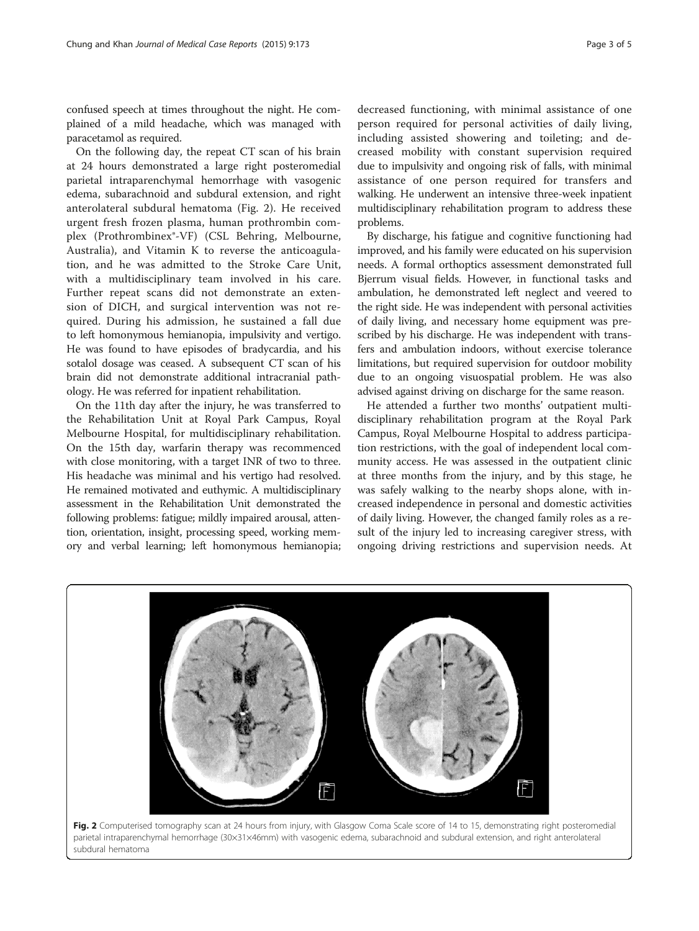confused speech at times throughout the night. He complained of a mild headache, which was managed with paracetamol as required.

On the following day, the repeat CT scan of his brain at 24 hours demonstrated a large right posteromedial parietal intraparenchymal hemorrhage with vasogenic edema, subarachnoid and subdural extension, and right anterolateral subdural hematoma (Fig. 2). He received urgent fresh frozen plasma, human prothrombin complex (Prothrombinex®-VF) (CSL Behring, Melbourne, Australia), and Vitamin K to reverse the anticoagulation, and he was admitted to the Stroke Care Unit, with a multidisciplinary team involved in his care. Further repeat scans did not demonstrate an extension of DICH, and surgical intervention was not required. During his admission, he sustained a fall due to left homonymous hemianopia, impulsivity and vertigo. He was found to have episodes of bradycardia, and his sotalol dosage was ceased. A subsequent CT scan of his brain did not demonstrate additional intracranial pathology. He was referred for inpatient rehabilitation.

On the 11th day after the injury, he was transferred to the Rehabilitation Unit at Royal Park Campus, Royal Melbourne Hospital, for multidisciplinary rehabilitation. On the 15th day, warfarin therapy was recommenced with close monitoring, with a target INR of two to three. His headache was minimal and his vertigo had resolved. He remained motivated and euthymic. A multidisciplinary assessment in the Rehabilitation Unit demonstrated the following problems: fatigue; mildly impaired arousal, attention, orientation, insight, processing speed, working memory and verbal learning; left homonymous hemianopia;

decreased functioning, with minimal assistance of one person required for personal activities of daily living, including assisted showering and toileting; and decreased mobility with constant supervision required due to impulsivity and ongoing risk of falls, with minimal assistance of one person required for transfers and walking. He underwent an intensive three-week inpatient multidisciplinary rehabilitation program to address these problems.

By discharge, his fatigue and cognitive functioning had improved, and his family were educated on his supervision needs. A formal orthoptics assessment demonstrated full Bjerrum visual fields. However, in functional tasks and ambulation, he demonstrated left neglect and veered to the right side. He was independent with personal activities of daily living, and necessary home equipment was prescribed by his discharge. He was independent with transfers and ambulation indoors, without exercise tolerance limitations, but required supervision for outdoor mobility due to an ongoing visuospatial problem. He was also advised against driving on discharge for the same reason.

He attended a further two months' outpatient multidisciplinary rehabilitation program at the Royal Park Campus, Royal Melbourne Hospital to address participation restrictions, with the goal of independent local community access. He was assessed in the outpatient clinic at three months from the injury, and by this stage, he was safely walking to the nearby shops alone, with increased independence in personal and domestic activities of daily living. However, the changed family roles as a result of the injury led to increasing caregiver stress, with ongoing driving restrictions and supervision needs. At

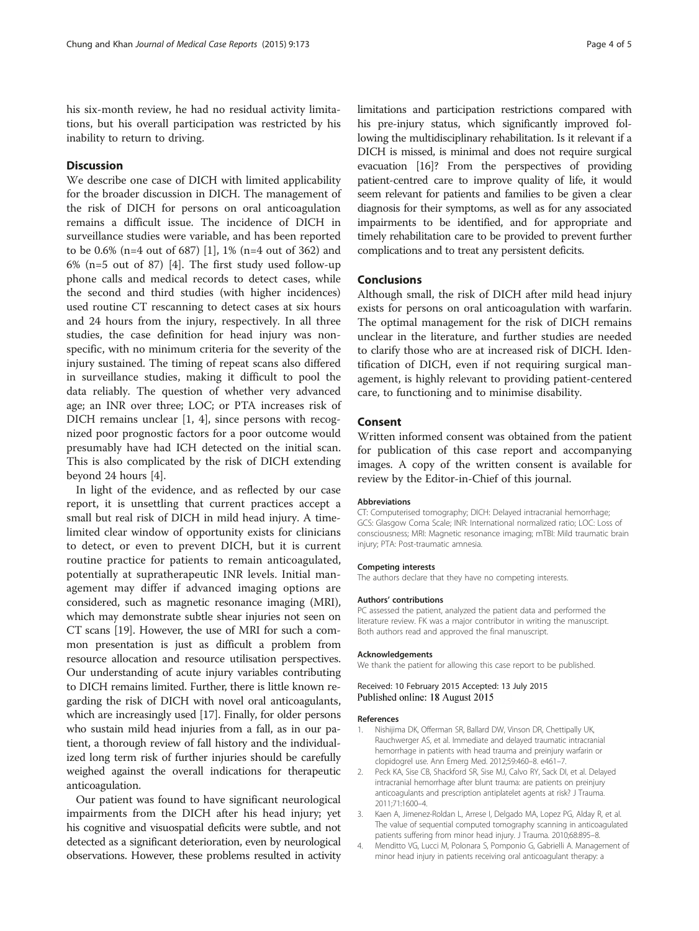<span id="page-3-0"></span>his six-month review, he had no residual activity limitations, but his overall participation was restricted by his inability to return to driving.

# **Discussion**

We describe one case of DICH with limited applicability for the broader discussion in DICH. The management of the risk of DICH for persons on oral anticoagulation remains a difficult issue. The incidence of DICH in surveillance studies were variable, and has been reported to be 0.6% (n=4 out of 687) [1], 1% (n=4 out of 362) and 6% (n=5 out of 87) [4]. The first study used follow-up phone calls and medical records to detect cases, while the second and third studies (with higher incidences) used routine CT rescanning to detect cases at six hours and 24 hours from the injury, respectively. In all three studies, the case definition for head injury was nonspecific, with no minimum criteria for the severity of the injury sustained. The timing of repeat scans also differed in surveillance studies, making it difficult to pool the data reliably. The question of whether very advanced age; an INR over three; LOC; or PTA increases risk of DICH remains unclear [1, 4], since persons with recognized poor prognostic factors for a poor outcome would presumably have had ICH detected on the initial scan. This is also complicated by the risk of DICH extending beyond 24 hours [4].

In light of the evidence, and as reflected by our case report, it is unsettling that current practices accept a small but real risk of DICH in mild head injury. A timelimited clear window of opportunity exists for clinicians to detect, or even to prevent DICH, but it is current routine practice for patients to remain anticoagulated, potentially at supratherapeutic INR levels. Initial management may differ if advanced imaging options are considered, such as magnetic resonance imaging (MRI), which may demonstrate subtle shear injuries not seen on CT scans [\[19](#page-4-0)]. However, the use of MRI for such a common presentation is just as difficult a problem from resource allocation and resource utilisation perspectives. Our understanding of acute injury variables contributing to DICH remains limited. Further, there is little known regarding the risk of DICH with novel oral anticoagulants, which are increasingly used [\[17\]](#page-4-0). Finally, for older persons who sustain mild head injuries from a fall, as in our patient, a thorough review of fall history and the individualized long term risk of further injuries should be carefully weighed against the overall indications for therapeutic anticoagulation.

Our patient was found to have significant neurological impairments from the DICH after his head injury; yet his cognitive and visuospatial deficits were subtle, and not detected as a significant deterioration, even by neurological observations. However, these problems resulted in activity limitations and participation restrictions compared with his pre-injury status, which significantly improved following the multidisciplinary rehabilitation. Is it relevant if a DICH is missed, is minimal and does not require surgical evacuation [[16](#page-4-0)]? From the perspectives of providing patient-centred care to improve quality of life, it would seem relevant for patients and families to be given a clear diagnosis for their symptoms, as well as for any associated impairments to be identified, and for appropriate and timely rehabilitation care to be provided to prevent further complications and to treat any persistent deficits.

#### Conclusions

Although small, the risk of DICH after mild head injury exists for persons on oral anticoagulation with warfarin. The optimal management for the risk of DICH remains unclear in the literature, and further studies are needed to clarify those who are at increased risk of DICH. Identification of DICH, even if not requiring surgical management, is highly relevant to providing patient-centered care, to functioning and to minimise disability.

## Consent

Written informed consent was obtained from the patient for publication of this case report and accompanying images. A copy of the written consent is available for review by the Editor-in-Chief of this journal.

#### Abbreviations

CT: Computerised tomography; DICH: Delayed intracranial hemorrhage; GCS: Glasgow Coma Scale; INR: International normalized ratio; LOC: Loss of consciousness; MRI: Magnetic resonance imaging; mTBI: Mild traumatic brain injury; PTA: Post-traumatic amnesia.

#### Competing interests

The authors declare that they have no competing interests.

#### Authors' contributions

PC assessed the patient, analyzed the patient data and performed the literature review. FK was a major contributor in writing the manuscript. Both authors read and approved the final manuscript.

#### Acknowledgements

We thank the patient for allowing this case report to be published.

Received: 10 February 2015 Accepted: 13 July 2015 Published online: 18 August 2015

#### References

- 1. Nishijima DK, Offerman SR, Ballard DW, Vinson DR, Chettipally UK, Rauchwerger AS, et al. Immediate and delayed traumatic intracranial hemorrhage in patients with head trauma and preinjury warfarin or clopidogrel use. Ann Emerg Med. 2012;59:460–8. e461–7.
- 2. Peck KA, Sise CB, Shackford SR, Sise MJ, Calvo RY, Sack DI, et al. Delayed intracranial hemorrhage after blunt trauma: are patients on preinjury anticoagulants and prescription antiplatelet agents at risk? J Trauma. 2011;71:1600–4.
- 3. Kaen A, Jimenez-Roldan L, Arrese I, Delgado MA, Lopez PG, Alday R, et al. The value of sequential computed tomography scanning in anticoagulated patients suffering from minor head injury. J Trauma. 2010;68:895–8.
- 4. Menditto VG, Lucci M, Polonara S, Pomponio G, Gabrielli A. Management of minor head injury in patients receiving oral anticoagulant therapy: a